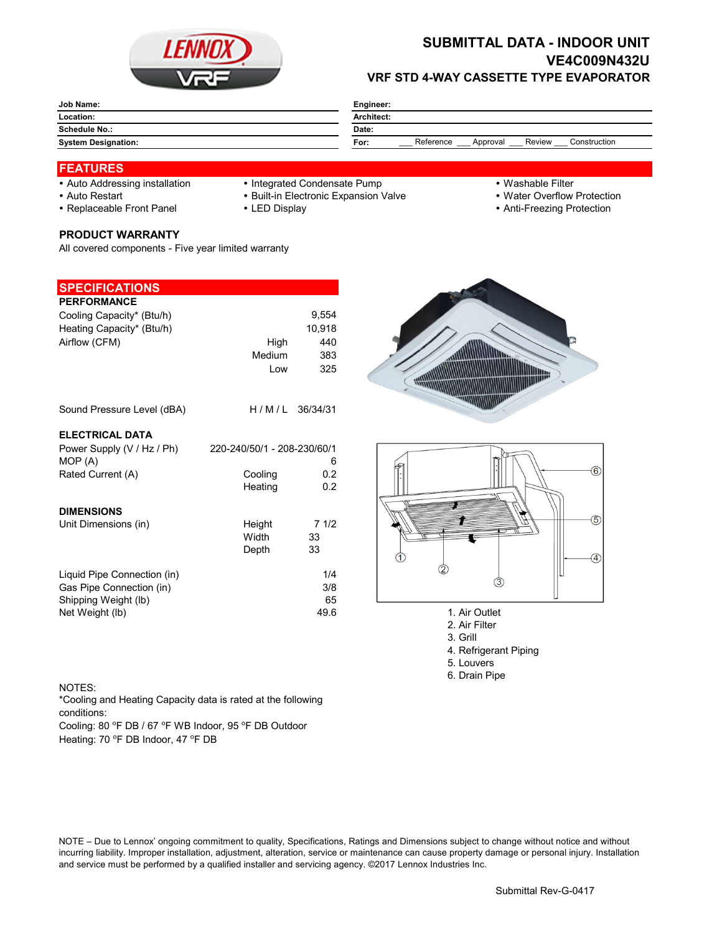

# **SUBMITTAL DATA - INDOOR UNIT VE4C009N432U VRF STD 4-WAY CASSETTE TYPE EVAPORATOR**

| <b>Job Name:</b>           | Engineer:                                               |  |  |
|----------------------------|---------------------------------------------------------|--|--|
| Location:                  | Architect:                                              |  |  |
| Schedule No.:              | Date:                                                   |  |  |
| <b>System Designation:</b> | Reference<br>Review<br>Construction<br>Approval<br>For: |  |  |

## **FEATURES**

- 
- Auto Addressing installation Integrated Condensate Pump Washable Filter
- Auto Restart **Built-in Electronic Expansion Valve Water Overflow Protection** Nuter Overflow Protection
- Replaceable Front Panel LED Display Anti-Freezing Protection

### **PRODUCT WARRANTY**

All covered components - Five year limited warranty

### **SPECIFICATIONS**

| <b>PERFORMANCE</b>                                      |                             |            |
|---------------------------------------------------------|-----------------------------|------------|
| Cooling Capacity* (Btu/h)                               |                             | 9,554      |
| Heating Capacity* (Btu/h)                               |                             | 10.918     |
| Airflow (CFM)                                           | High                        | 440        |
|                                                         | Medium                      | 383        |
|                                                         | Low                         | 325        |
| Sound Pressure Level (dBA)                              | $H/M/L$ 36/34/31            |            |
| <b>ELECTRICAL DATA</b>                                  |                             |            |
| Power Supply (V / Hz / Ph)                              | 220-240/50/1 - 208-230/60/1 |            |
| MOP (A)                                                 |                             | 6          |
| Rated Current (A)                                       | Cooling                     | 0.2        |
|                                                         | Heating                     | 0.2        |
| <b>DIMENSIONS</b>                                       |                             |            |
| Unit Dimensions (in)                                    | Height                      | 71/2       |
|                                                         | Width                       | 33         |
|                                                         | Depth                       | 33         |
|                                                         |                             |            |
| Liquid Pipe Connection (in)<br>Gas Pipe Connection (in) |                             | 1/4<br>3/8 |
| Shipping Weight (lb)                                    |                             | 65         |
| Net Weight (lb)                                         |                             | 49.6       |
|                                                         |                             |            |





- 1. Air Outlet
- 2. Air Filter
- 3. Grill
- 4. Refrigerant Piping
- 5. Louvers
- 6. Drain Pipe

### NOTES:

\*Cooling and Heating Capacity data is rated at the following conditions:

Cooling: 80 °F DB / 67 °F WB Indoor, 95 °F DB Outdoor Heating: 70 °F DB Indoor, 47 °F DB

NOTE – Due to Lennox' ongoing commitment to quality, Specifications, Ratings and Dimensions subject to change without notice and without incurring liability. Improper installation, adjustment, alteration, service or maintenance can cause property damage or personal injury. Installation and service must be performed by a qualified installer and servicing agency. ©2017 Lennox Industries Inc.